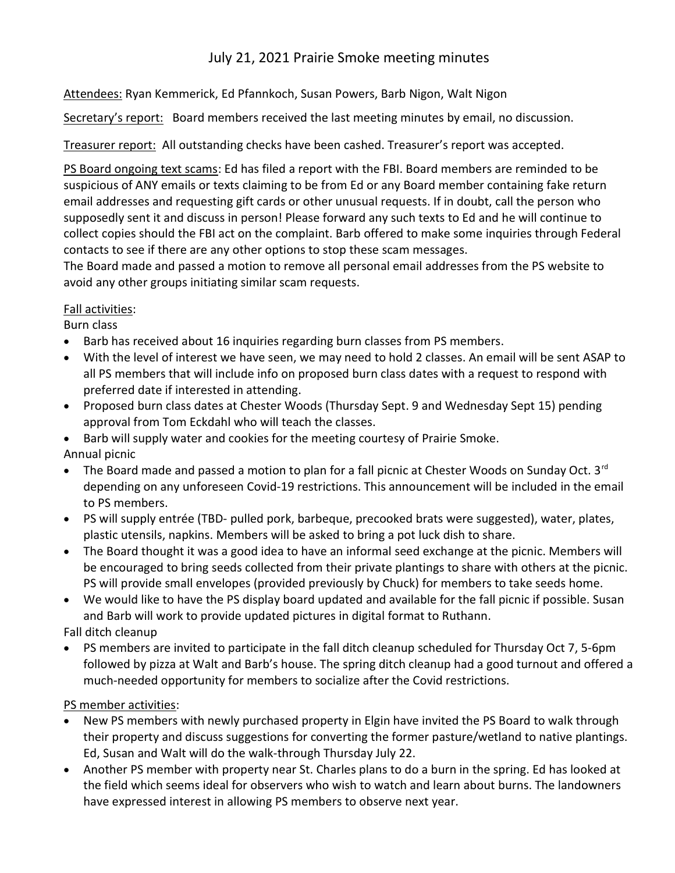# July 21, 2021 Prairie Smoke meeting minutes

Attendees: Ryan Kemmerick, Ed Pfannkoch, Susan Powers, Barb Nigon, Walt Nigon

Secretary's report: Board members received the last meeting minutes by email, no discussion.

Treasurer report: All outstanding checks have been cashed. Treasurer's report was accepted.

PS Board ongoing text scams: Ed has filed a report with the FBI. Board members are reminded to be suspicious of ANY emails or texts claiming to be from Ed or any Board member containing fake return email addresses and requesting gift cards or other unusual requests. If in doubt, call the person who supposedly sent it and discuss in person! Please forward any such texts to Ed and he will continue to collect copies should the FBI act on the complaint. Barb offered to make some inquiries through Federal contacts to see if there are any other options to stop these scam messages.

The Board made and passed a motion to remove all personal email addresses from the PS website to avoid any other groups initiating similar scam requests.

## Fall activities:

Burn class

- Barb has received about 16 inquiries regarding burn classes from PS members.
- With the level of interest we have seen, we may need to hold 2 classes. An email will be sent ASAP to all PS members that will include info on proposed burn class dates with a request to respond with preferred date if interested in attending.
- Proposed burn class dates at Chester Woods (Thursday Sept. 9 and Wednesday Sept 15) pending approval from Tom Eckdahl who will teach the classes.
- Barb will supply water and cookies for the meeting courtesy of Prairie Smoke.

Annual picnic

- $\bullet$  The Board made and passed a motion to plan for a fall picnic at Chester Woods on Sunday Oct. 3<sup>rd</sup> depending on any unforeseen Covid-19 restrictions. This announcement will be included in the email to PS members.
- PS will supply entrée (TBD- pulled pork, barbeque, precooked brats were suggested), water, plates, plastic utensils, napkins. Members will be asked to bring a pot luck dish to share.
- The Board thought it was a good idea to have an informal seed exchange at the picnic. Members will be encouraged to bring seeds collected from their private plantings to share with others at the picnic. PS will provide small envelopes (provided previously by Chuck) for members to take seeds home.
- We would like to have the PS display board updated and available for the fall picnic if possible. Susan and Barb will work to provide updated pictures in digital format to Ruthann.

Fall ditch cleanup

 PS members are invited to participate in the fall ditch cleanup scheduled for Thursday Oct 7, 5-6pm followed by pizza at Walt and Barb's house. The spring ditch cleanup had a good turnout and offered a much-needed opportunity for members to socialize after the Covid restrictions.

PS member activities:

- New PS members with newly purchased property in Elgin have invited the PS Board to walk through their property and discuss suggestions for converting the former pasture/wetland to native plantings. Ed, Susan and Walt will do the walk-through Thursday July 22.
- Another PS member with property near St. Charles plans to do a burn in the spring. Ed has looked at the field which seems ideal for observers who wish to watch and learn about burns. The landowners have expressed interest in allowing PS members to observe next year.